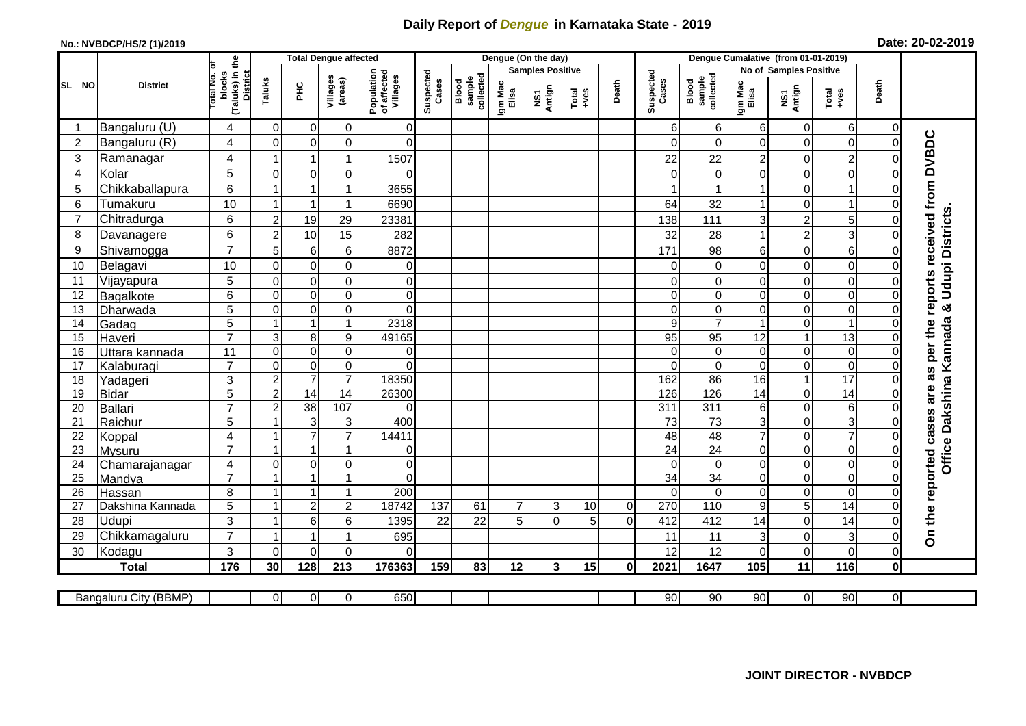## **Daily Report of** *Dengue* **in Karnataka State - 2019**

## **No.: NVBDCP/HS/2 (1)/2019 Date: 20-02-2019**

|                | <b>District</b>           |                                                       |                               | <b>Total Dengue affected</b>     |                                |                                       |                    |                              |                  | Dengue (On the day)     |                                                              |                            |                    |                              |                        |                         |                     |                               |                                        |
|----------------|---------------------------|-------------------------------------------------------|-------------------------------|----------------------------------|--------------------------------|---------------------------------------|--------------------|------------------------------|------------------|-------------------------|--------------------------------------------------------------|----------------------------|--------------------|------------------------------|------------------------|-------------------------|---------------------|-------------------------------|----------------------------------------|
|                |                           |                                                       |                               |                                  |                                |                                       |                    |                              |                  | <b>Samples Positive</b> |                                                              |                            |                    |                              | No of Samples Positive |                         |                     |                               |                                        |
| SL NO          |                           | (Taluks) in the<br>District<br>lotal No. ol<br>blocks | Taluks                        | ΞÉ                               | Villages<br>(areas)            | Population<br>of affected<br>Villages | Suspected<br>Cases | sample<br>collected<br>Blood | Igm Mac<br>Elisa | NS1<br>Antign           | $\begin{array}{c}\n\text{Total} \\ \text{Area}\n\end{array}$ | Death                      | Suspected<br>Cases | collected<br>sample<br>Blood | Igm Mac<br>Elisa       | NS1<br>Antign           | Total<br>+ves       | Death                         |                                        |
|                | Bangaluru (U)             | 4                                                     | $\mathbf 0$                   | 0                                | $\overline{0}$                 | $\overline{0}$                        |                    |                              |                  |                         |                                                              |                            | 6                  | 6                            | 6                      | $\mathbf 0$             | 6                   | $\mathbf 0$                   |                                        |
| $\overline{2}$ | Bangaluru (R)             | 4                                                     | $\Omega$                      | $\mathbf 0$                      | 0                              | $\overline{0}$                        |                    |                              |                  |                         |                                                              |                            | $\Omega$           | $\Omega$                     | $\Omega$               | 0                       | $\mathbf 0$         | $\mathbf 0$                   |                                        |
| 3              | Ramanagar                 | 4                                                     |                               | $\mathbf 1$                      | $\mathbf{1}$                   | 1507                                  |                    |                              |                  |                         |                                                              |                            | 22                 | 22                           | $\overline{2}$         | 0                       | $\overline{a}$      | $\Omega$                      | as per the reports received from DVBDC |
| 4              | Kolar                     | 5                                                     | $\mathbf 0$                   | $\mathbf 0$                      | $\mathbf 0$                    | $\Omega$                              |                    |                              |                  |                         |                                                              |                            | $\Omega$           | $\mathbf 0$                  | 0                      | 0                       | $\mathbf 0$         | $\Omega$                      |                                        |
| 5              | Chikkaballapura           | 6                                                     | $\mathbf{1}$                  | $\overline{1}$                   | $\mathbf{1}$                   | 3655                                  |                    |                              |                  |                         |                                                              |                            |                    |                              |                        | 0                       | $\mathbf{1}$        | $\Omega$                      |                                        |
| 6              | Tumakuru                  | 10                                                    | -1                            | $\overline{1}$                   | $\mathbf{1}$                   | 6690                                  |                    |                              |                  |                         |                                                              |                            | 64                 | 32                           |                        | 0                       | $\mathbf{1}$        | 0                             |                                        |
| $\overline{7}$ | Chitradurga               | 6                                                     | $\overline{2}$                | 19                               | 29                             | 23381                                 |                    |                              |                  |                         |                                                              |                            | 138                | 111                          | 3                      | $\overline{\mathbf{c}}$ | 5                   | 0                             |                                        |
| 8              | Davanagere                | 6                                                     | $\overline{c}$                | 10                               | 15                             | 282                                   |                    |                              |                  |                         |                                                              |                            | 32                 | 28                           |                        | $\overline{c}$          | 3                   | $\mathbf 0$                   |                                        |
| 9              | Shivamogga                | $\overline{7}$                                        | 5                             | $\,6$                            | $\,6\,$                        | 8872                                  |                    |                              |                  |                         |                                                              |                            | 171                | 98                           | 6                      | 0                       | 6                   | $\mathbf 0$                   | Udupi Districts.                       |
| 10             | Belagavi                  | 10                                                    | $\Omega$                      | $\mathbf 0$                      | $\pmb{0}$                      | $\overline{0}$                        |                    |                              |                  |                         |                                                              |                            | 0                  | $\Omega$                     | $\mathbf 0$            | 0                       | $\mathbf 0$         | $\Omega$                      |                                        |
| 11             | Vijayapura                | 5                                                     | $\mathbf 0$                   | $\mathbf 0$                      | $\mathbf 0$                    | $\overline{0}$                        |                    |                              |                  |                         |                                                              |                            | 0                  | 0                            | $\mathbf 0$            | 0                       | $\mathbf 0$         | $\mathbf 0$                   |                                        |
| 12             | Bagalkote                 | 6                                                     | $\Omega$                      | $\mathbf 0$                      | $\overline{0}$                 | $\overline{0}$                        |                    |                              |                  |                         |                                                              |                            | $\Omega$           | $\Omega$                     | $\Omega$               | 0                       | $\overline{0}$      | $\Omega$                      |                                        |
| 13             | Dharwada                  | 5                                                     | $\mathbf 0$                   | $\mathbf 0$                      | $\overline{0}$                 | $\Omega$                              |                    |                              |                  |                         |                                                              |                            | $\Omega$           | $\mathbf 0$                  | 0                      | $\boldsymbol{0}$        | $\overline{0}$      | $\mathbf 0$                   | ಳ                                      |
| 14             | Gadag                     | 5                                                     | $\mathbf{1}$                  | $\overline{1}$                   | $\mathbf{1}$                   | 2318                                  |                    |                              |                  |                         |                                                              |                            | 9                  | $\overline{7}$               |                        | 0                       | $\overline{1}$      | $\mathbf 0$                   |                                        |
| 15             | Haveri                    | $\overline{7}$                                        | $\sqrt{3}$                    | 8                                | 9                              | 49165                                 |                    |                              |                  |                         |                                                              |                            | 95                 | 95                           | 12                     | $\mathbf{1}$            | $\overline{3}$      | $\Omega$                      |                                        |
| 16             | Uttara kannada            | 11                                                    | $\Omega$                      | $\pmb{0}$                        | $\mathbf 0$                    | $\overline{0}$                        |                    |                              |                  |                         |                                                              |                            | $\Omega$           | $\Omega$                     | $\mathbf 0$            | 0                       | $\overline{0}$      | $\mathbf 0$                   | Kannada                                |
| 17             | Kalaburagi                | $\overline{7}$                                        | $\overline{0}$                | $\pmb{0}$                        | $\mathbf 0$                    | $\Omega$                              |                    |                              |                  |                         |                                                              |                            | $\Omega$           | $\Omega$                     | $\Omega$               | 0                       | 0                   | $\Omega$                      |                                        |
| 18             | Yadageri                  | 3                                                     | $\overline{c}$                | $\overline{7}$                   | $\overline{7}$                 | 18350                                 |                    |                              |                  |                         |                                                              |                            | 162                | 86                           | 16                     | $\mathbf{1}$            | 17                  | $\Omega$                      |                                        |
| 19             | <b>Bidar</b>              | $\overline{5}$                                        | $\overline{2}$                | 14                               | $\overline{14}$                | 26300                                 |                    |                              |                  |                         |                                                              |                            | 126                | 126                          | 14                     | 0                       | $\overline{14}$     | $\Omega$                      |                                        |
| 20             | Ballari                   | $\overline{7}$                                        | $\overline{c}$                | 38                               | 107                            | $\Omega$                              |                    |                              |                  |                         |                                                              |                            | 311                | 311                          | 6                      | 0                       | $\,6$               | 0                             |                                        |
| 21             | Raichur                   | 5                                                     | $\overline{ }$                | 3                                | $\ensuremath{\mathsf{3}}$      | 400                                   |                    |                              |                  |                         |                                                              |                            | $\overline{73}$    | $\overline{73}$              | 3                      | 0                       | $\overline{3}$      | $\Omega$                      | Office Dakshina                        |
| 22             | Koppal                    | $\overline{\mathbf{4}}$                               | -1                            | $\overline{7}$                   | $\overline{7}$                 | 14411                                 |                    |                              |                  |                         |                                                              |                            | 48                 | 48                           | $\overline{7}$         | 0                       | $\overline{7}$      | $\mathbf 0$                   |                                        |
| 23             | Mysuru                    | $\overline{7}$                                        | 1                             | $\overline{1}$                   | $\mathbf{1}$                   | $\overline{0}$                        |                    |                              |                  |                         |                                                              |                            | $\overline{24}$    | 24                           | $\mathbf 0$            | 0                       | $\overline{0}$      | $\mathbf 0$                   |                                        |
| 24             | Chamarajanagar            | 4<br>$\overline{7}$                                   | $\mathbf 0$<br>$\overline{1}$ | $\mathbf 0$                      | $\overline{0}$                 | $\overline{0}$                        |                    |                              |                  |                         |                                                              |                            | $\Omega$           | $\mathbf 0$                  | 0                      | 0                       | $\overline{0}$      | $\mathbf 0$                   |                                        |
| 25             | Mandya                    | 8                                                     | $\overline{1}$                | $\overline{1}$<br>$\overline{1}$ | $\mathbf{1}$                   | $\Omega$                              |                    |                              |                  |                         |                                                              |                            | 34<br>$\Omega$     | $\overline{34}$              | $\Omega$               | 0                       | $\overline{0}$<br>O | $\mathbf 0$                   |                                        |
| 26             | Hassan                    | 5                                                     | $\mathbf{1}$                  | $\overline{2}$                   | $\mathbf{1}$<br>$\overline{c}$ | 200<br>18742                          | 137                | 61                           | 7                | 3                       | 10                                                           |                            | 270                | $\overline{0}$<br>110        | $\mathbf 0$<br>9       | 0<br>5                  | $\overline{14}$     | $\overline{0}$<br>$\mathbf 0$ |                                        |
| 27<br>28       | Dakshina Kannada<br>Udupi | 3                                                     | -1                            | $\,6\,$                          | 6                              |                                       | 22                 | 22                           |                  | $\Omega$                | 5                                                            | $\overline{0}$<br>$\Omega$ | 412                |                              |                        | 0                       | 14                  | $\Omega$                      |                                        |
| 29             | Chikkamagaluru            | $\overline{7}$                                        | $\blacktriangleleft$          | $\overline{1}$                   | $\mathbf{1}$                   | 1395<br>695                           |                    |                              | 5                |                         |                                                              |                            | 11                 | 412<br>11                    | 14                     | 0                       | 3                   | $\mathbf 0$                   | On the reported cases are              |
| 30             |                           | 3                                                     | $\Omega$                      | $\mathbf 0$                      | 0                              | $\Omega$                              |                    |                              |                  |                         |                                                              |                            | 12                 | 12                           | 3<br>0                 | 0                       | $\overline{0}$      | $\mathbf 0$                   |                                        |
|                | Kodagu<br><b>Total</b>    | 176                                                   | 30                            | 128                              | 213                            | 176363                                | 159                | 83                           | 12               | $\overline{\mathbf{3}}$ | 15                                                           | 0                          | 2021               | 1647                         | 105                    | $\overline{11}$         | 116                 | $\mathbf 0$                   |                                        |
|                |                           |                                                       |                               |                                  |                                |                                       |                    |                              |                  |                         |                                                              |                            |                    |                              |                        |                         |                     |                               |                                        |
|                | Bangaluru City (BBMP)     |                                                       | $\overline{0}$                | $\overline{0}$                   | $\overline{0}$                 | 650                                   |                    |                              |                  |                         |                                                              |                            | 90                 | 90                           | 90                     | 0                       | 90                  | $\overline{0}$                |                                        |